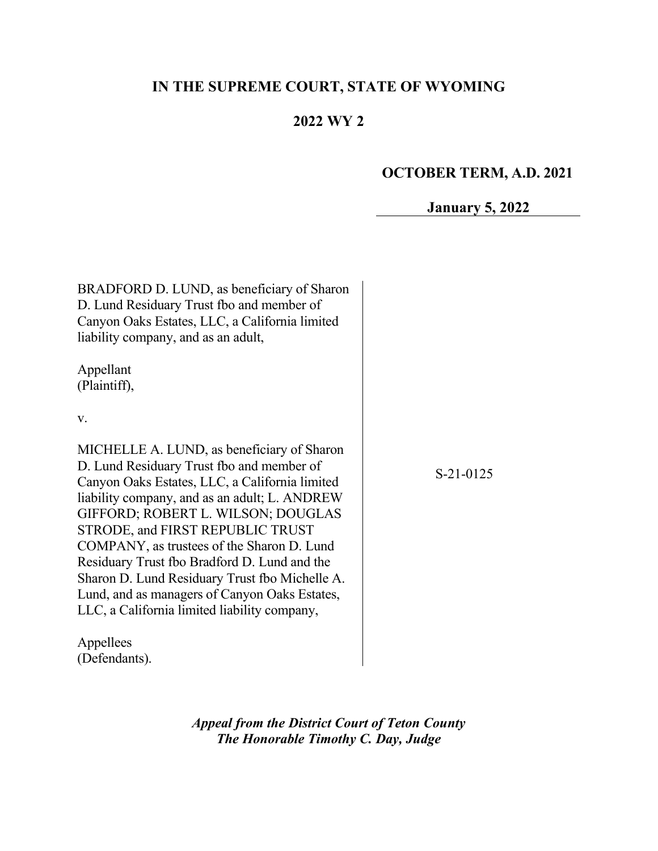# **IN THE SUPREME COURT, STATE OF WYOMING**

## **2022 WY 2**

## **OCTOBER TERM, A.D. 2021**

## **January 5, 2022**

| BRADFORD D. LUND, as beneficiary of Sharon<br>D. Lund Residuary Trust fbo and member of<br>Canyon Oaks Estates, LLC, a California limited<br>liability company, and as an adult,<br>Appellant<br>(Plaintiff), |             |
|---------------------------------------------------------------------------------------------------------------------------------------------------------------------------------------------------------------|-------------|
| V.                                                                                                                                                                                                            |             |
| MICHELLE A. LUND, as beneficiary of Sharon                                                                                                                                                                    |             |
| D. Lund Residuary Trust fbo and member of                                                                                                                                                                     | $S-21-0125$ |
| Canyon Oaks Estates, LLC, a California limited                                                                                                                                                                |             |
| liability company, and as an adult; L. ANDREW<br>GIFFORD; ROBERT L. WILSON; DOUGLAS                                                                                                                           |             |
| STRODE, and FIRST REPUBLIC TRUST                                                                                                                                                                              |             |
| COMPANY, as trustees of the Sharon D. Lund                                                                                                                                                                    |             |
| Residuary Trust fbo Bradford D. Lund and the                                                                                                                                                                  |             |
| Sharon D. Lund Residuary Trust fbo Michelle A.                                                                                                                                                                |             |
| Lund, and as managers of Canyon Oaks Estates,                                                                                                                                                                 |             |
| LLC, a California limited liability company,                                                                                                                                                                  |             |
| Appellees                                                                                                                                                                                                     |             |
| (Defendants).                                                                                                                                                                                                 |             |

*Appeal from the District Court of Teton County The Honorable Timothy C. Day, Judge*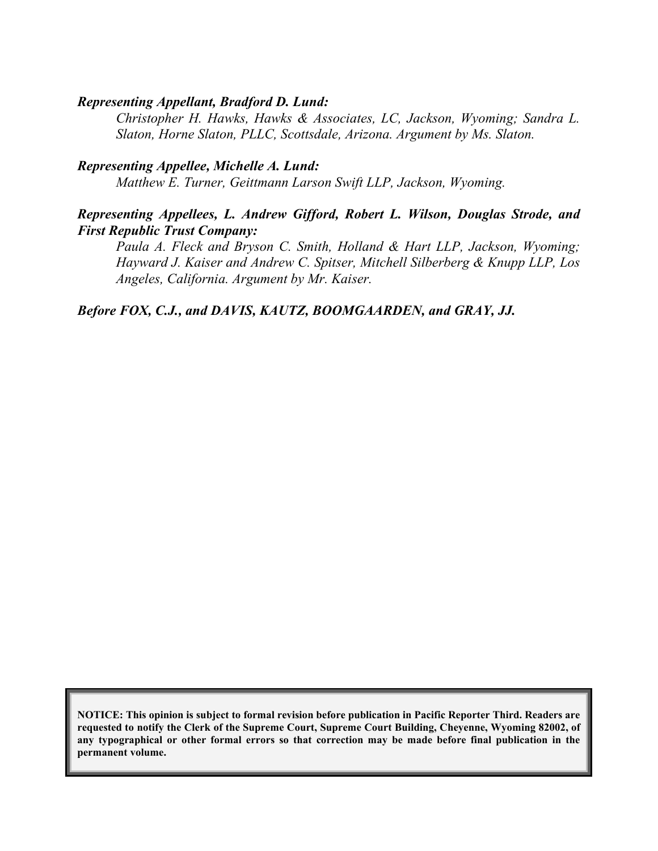#### *Representing Appellant, Bradford D. Lund:*

*Christopher H. Hawks, Hawks & Associates, LC, Jackson, Wyoming; Sandra L. Slaton, Horne Slaton, PLLC, Scottsdale, Arizona. Argument by Ms. Slaton.*

#### *Representing Appellee, Michelle A. Lund:*

*Matthew E. Turner, Geittmann Larson Swift LLP, Jackson, Wyoming.*

#### *Representing Appellees, L. Andrew Gifford, Robert L. Wilson, Douglas Strode, and First Republic Trust Company:*

*Paula A. Fleck and Bryson C. Smith, Holland & Hart LLP, Jackson, Wyoming; Hayward J. Kaiser and Andrew C. Spitser, Mitchell Silberberg & Knupp LLP, Los Angeles, California. Argument by Mr. Kaiser.*

#### *Before FOX, C.J., and DAVIS, KAUTZ, BOOMGAARDEN, and GRAY, JJ.*

**NOTICE: This opinion is subject to formal revision before publication in Pacific Reporter Third. Readers are requested to notify the Clerk of the Supreme Court, Supreme Court Building, Cheyenne, Wyoming 82002, of any typographical or other formal errors so that correction may be made before final publication in the permanent volume.**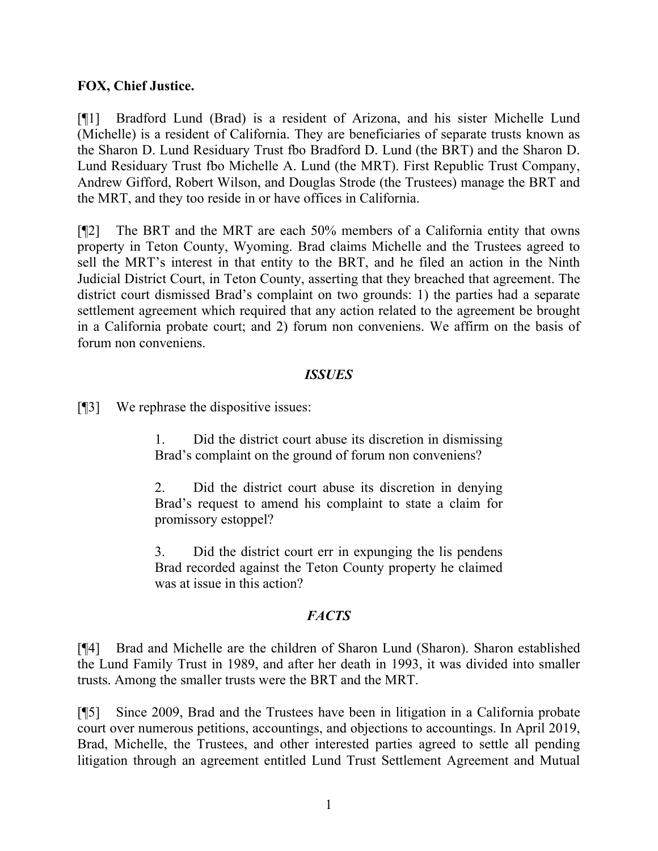#### **FOX, Chief Justice.**

[¶1] Bradford Lund (Brad) is a resident of Arizona, and his sister Michelle Lund (Michelle) is a resident of California. They are beneficiaries of separate trusts known as the Sharon D. Lund Residuary Trust fbo Bradford D. Lund (the BRT) and the Sharon D. Lund Residuary Trust fbo Michelle A. Lund (the MRT). First Republic Trust Company, Andrew Gifford, Robert Wilson, and Douglas Strode (the Trustees) manage the BRT and the MRT, and they too reside in or have offices in California.

[¶2] The BRT and the MRT are each 50% members of a California entity that owns property in Teton County, Wyoming. Brad claims Michelle and the Trustees agreed to sell the MRT's interest in that entity to the BRT, and he filed an action in the Ninth Judicial District Court, in Teton County, asserting that they breached that agreement. The district court dismissed Brad's complaint on two grounds: 1) the parties had a separate settlement agreement which required that any action related to the agreement be brought in a California probate court; and 2) forum non conveniens. We affirm on the basis of forum non conveniens.

#### *ISSUES*

[¶3] We rephrase the dispositive issues:

1. Did the district court abuse its discretion in dismissing Brad's complaint on the ground of forum non conveniens?

2. Did the district court abuse its discretion in denying Brad's request to amend his complaint to state a claim for promissory estoppel?

3. Did the district court err in expunging the lis pendens Brad recorded against the Teton County property he claimed was at issue in this action?

### *FACTS*

[¶4] Brad and Michelle are the children of Sharon Lund (Sharon). Sharon established the Lund Family Trust in 1989, and after her death in 1993, it was divided into smaller trusts. Among the smaller trusts were the BRT and the MRT.

[¶5] Since 2009, Brad and the Trustees have been in litigation in a California probate court over numerous petitions, accountings, and objections to accountings. In April 2019, Brad, Michelle, the Trustees, and other interested parties agreed to settle all pending litigation through an agreement entitled Lund Trust Settlement Agreement and Mutual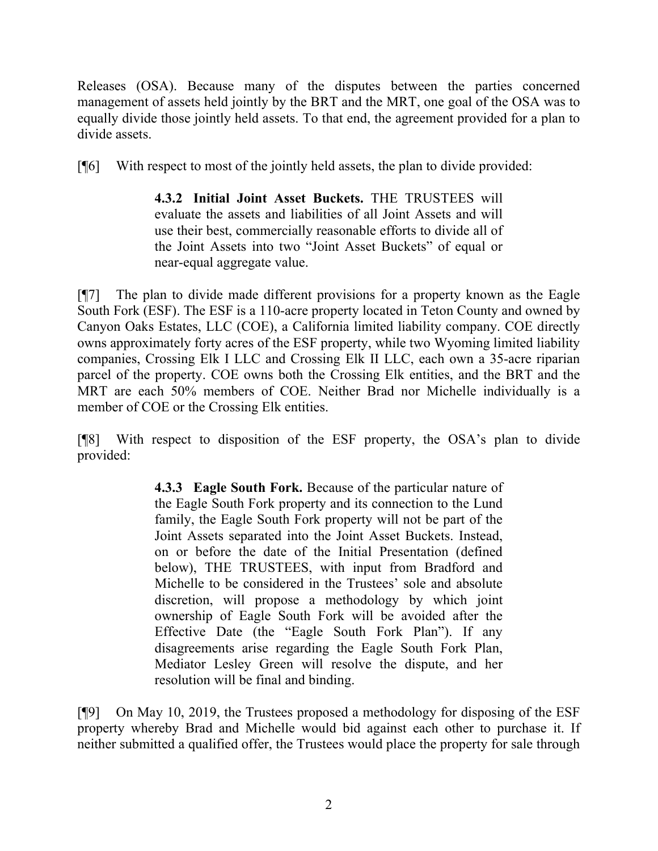Releases (OSA). Because many of the disputes between the parties concerned management of assets held jointly by the BRT and the MRT, one goal of the OSA was to equally divide those jointly held assets. To that end, the agreement provided for a plan to divide assets.

[¶6] With respect to most of the jointly held assets, the plan to divide provided:

**4.3.2 Initial Joint Asset Buckets.** THE TRUSTEES will evaluate the assets and liabilities of all Joint Assets and will use their best, commercially reasonable efforts to divide all of the Joint Assets into two "Joint Asset Buckets" of equal or near-equal aggregate value.

[¶7] The plan to divide made different provisions for a property known as the Eagle South Fork (ESF). The ESF is a 110-acre property located in Teton County and owned by Canyon Oaks Estates, LLC (COE), a California limited liability company. COE directly owns approximately forty acres of the ESF property, while two Wyoming limited liability companies, Crossing Elk I LLC and Crossing Elk II LLC, each own a 35-acre riparian parcel of the property. COE owns both the Crossing Elk entities, and the BRT and the MRT are each 50% members of COE. Neither Brad nor Michelle individually is a member of COE or the Crossing Elk entities.

[¶8] With respect to disposition of the ESF property, the OSA's plan to divide provided:

> **4.3.3 Eagle South Fork.** Because of the particular nature of the Eagle South Fork property and its connection to the Lund family, the Eagle South Fork property will not be part of the Joint Assets separated into the Joint Asset Buckets. Instead, on or before the date of the Initial Presentation (defined below), THE TRUSTEES, with input from Bradford and Michelle to be considered in the Trustees' sole and absolute discretion, will propose a methodology by which joint ownership of Eagle South Fork will be avoided after the Effective Date (the "Eagle South Fork Plan"). If any disagreements arise regarding the Eagle South Fork Plan, Mediator Lesley Green will resolve the dispute, and her resolution will be final and binding.

[¶9] On May 10, 2019, the Trustees proposed a methodology for disposing of the ESF property whereby Brad and Michelle would bid against each other to purchase it. If neither submitted a qualified offer, the Trustees would place the property for sale through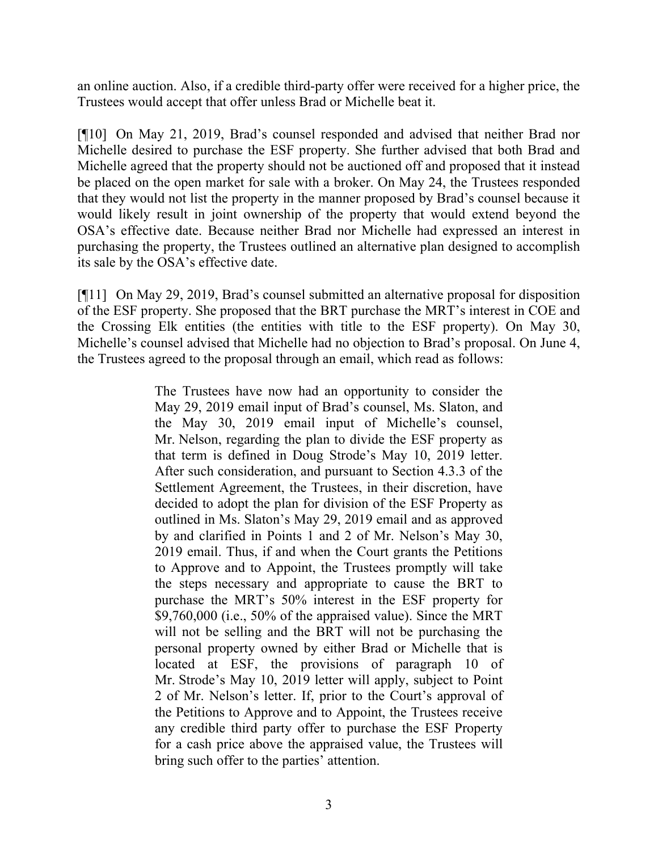an online auction. Also, if a credible third-party offer were received for a higher price, the Trustees would accept that offer unless Brad or Michelle beat it.

[¶10] On May 21, 2019, Brad's counsel responded and advised that neither Brad nor Michelle desired to purchase the ESF property. She further advised that both Brad and Michelle agreed that the property should not be auctioned off and proposed that it instead be placed on the open market for sale with a broker. On May 24, the Trustees responded that they would not list the property in the manner proposed by Brad's counsel because it would likely result in joint ownership of the property that would extend beyond the OSA's effective date. Because neither Brad nor Michelle had expressed an interest in purchasing the property, the Trustees outlined an alternative plan designed to accomplish its sale by the OSA's effective date.

[¶11] On May 29, 2019, Brad's counsel submitted an alternative proposal for disposition of the ESF property. She proposed that the BRT purchase the MRT's interest in COE and the Crossing Elk entities (the entities with title to the ESF property). On May 30, Michelle's counsel advised that Michelle had no objection to Brad's proposal. On June 4, the Trustees agreed to the proposal through an email, which read as follows:

> The Trustees have now had an opportunity to consider the May 29, 2019 email input of Brad's counsel, Ms. Slaton, and the May 30, 2019 email input of Michelle's counsel, Mr. Nelson, regarding the plan to divide the ESF property as that term is defined in Doug Strode's May 10, 2019 letter. After such consideration, and pursuant to Section 4.3.3 of the Settlement Agreement, the Trustees, in their discretion, have decided to adopt the plan for division of the ESF Property as outlined in Ms. Slaton's May 29, 2019 email and as approved by and clarified in Points 1 and 2 of Mr. Nelson's May 30, 2019 email. Thus, if and when the Court grants the Petitions to Approve and to Appoint, the Trustees promptly will take the steps necessary and appropriate to cause the BRT to purchase the MRT's 50% interest in the ESF property for \$9,760,000 (i.e., 50% of the appraised value). Since the MRT will not be selling and the BRT will not be purchasing the personal property owned by either Brad or Michelle that is located at ESF, the provisions of paragraph 10 of Mr. Strode's May 10, 2019 letter will apply, subject to Point 2 of Mr. Nelson's letter. If, prior to the Court's approval of the Petitions to Approve and to Appoint, the Trustees receive any credible third party offer to purchase the ESF Property for a cash price above the appraised value, the Trustees will bring such offer to the parties' attention.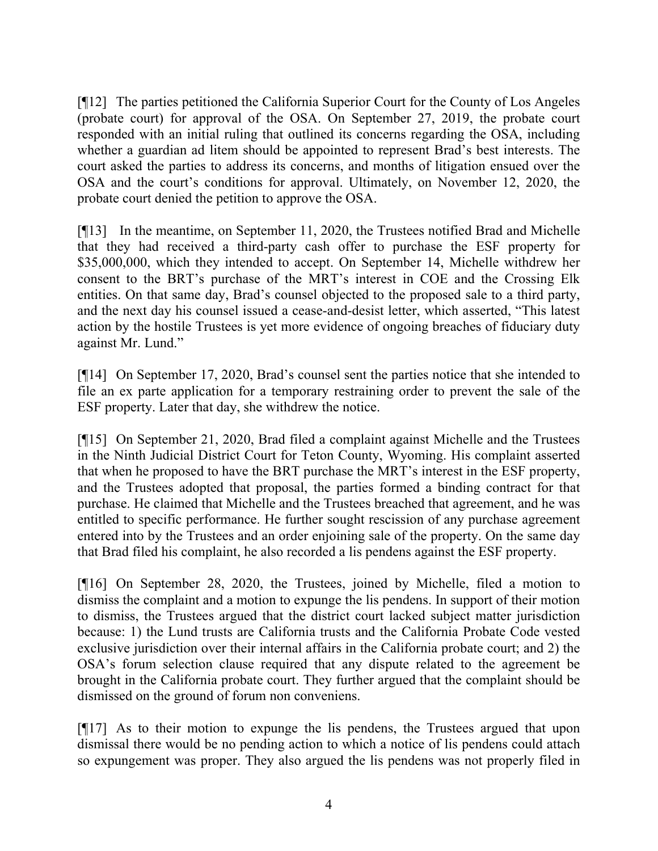[¶12] The parties petitioned the California Superior Court for the County of Los Angeles (probate court) for approval of the OSA. On September 27, 2019, the probate court responded with an initial ruling that outlined its concerns regarding the OSA, including whether a guardian ad litem should be appointed to represent Brad's best interests. The court asked the parties to address its concerns, and months of litigation ensued over the OSA and the court's conditions for approval. Ultimately, on November 12, 2020, the probate court denied the petition to approve the OSA.

[¶13] In the meantime, on September 11, 2020, the Trustees notified Brad and Michelle that they had received a third-party cash offer to purchase the ESF property for \$35,000,000, which they intended to accept. On September 14, Michelle withdrew her consent to the BRT's purchase of the MRT's interest in COE and the Crossing Elk entities. On that same day, Brad's counsel objected to the proposed sale to a third party, and the next day his counsel issued a cease-and-desist letter, which asserted, "This latest action by the hostile Trustees is yet more evidence of ongoing breaches of fiduciary duty against Mr. Lund."

[¶14] On September 17, 2020, Brad's counsel sent the parties notice that she intended to file an ex parte application for a temporary restraining order to prevent the sale of the ESF property. Later that day, she withdrew the notice.

[¶15] On September 21, 2020, Brad filed a complaint against Michelle and the Trustees in the Ninth Judicial District Court for Teton County, Wyoming. His complaint asserted that when he proposed to have the BRT purchase the MRT's interest in the ESF property, and the Trustees adopted that proposal, the parties formed a binding contract for that purchase. He claimed that Michelle and the Trustees breached that agreement, and he was entitled to specific performance. He further sought rescission of any purchase agreement entered into by the Trustees and an order enjoining sale of the property. On the same day that Brad filed his complaint, he also recorded a lis pendens against the ESF property.

[¶16] On September 28, 2020, the Trustees, joined by Michelle, filed a motion to dismiss the complaint and a motion to expunge the lis pendens. In support of their motion to dismiss, the Trustees argued that the district court lacked subject matter jurisdiction because: 1) the Lund trusts are California trusts and the California Probate Code vested exclusive jurisdiction over their internal affairs in the California probate court; and 2) the OSA's forum selection clause required that any dispute related to the agreement be brought in the California probate court. They further argued that the complaint should be dismissed on the ground of forum non conveniens.

[¶17] As to their motion to expunge the lis pendens, the Trustees argued that upon dismissal there would be no pending action to which a notice of lis pendens could attach so expungement was proper. They also argued the lis pendens was not properly filed in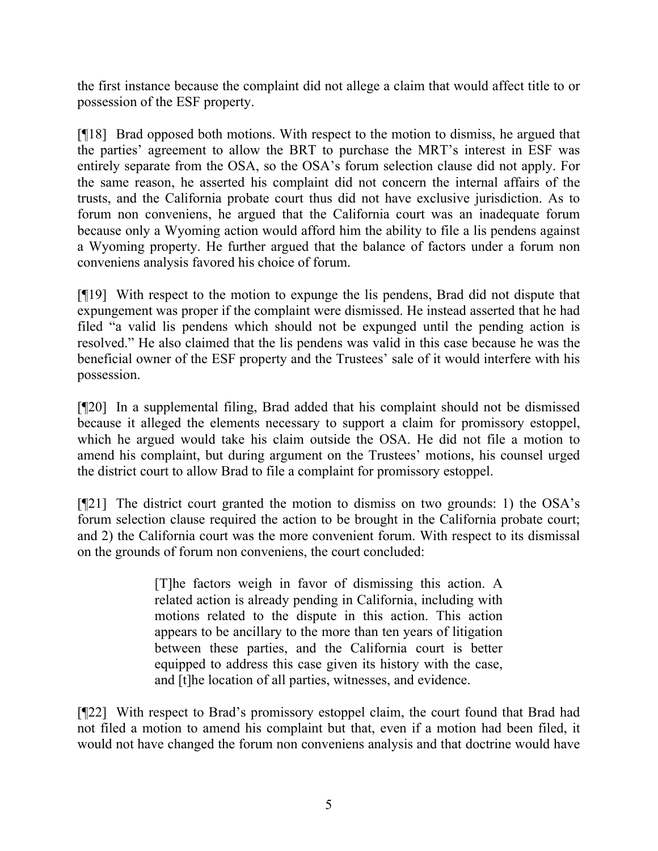the first instance because the complaint did not allege a claim that would affect title to or possession of the ESF property.

[¶18] Brad opposed both motions. With respect to the motion to dismiss, he argued that the parties' agreement to allow the BRT to purchase the MRT's interest in ESF was entirely separate from the OSA, so the OSA's forum selection clause did not apply. For the same reason, he asserted his complaint did not concern the internal affairs of the trusts, and the California probate court thus did not have exclusive jurisdiction. As to forum non conveniens, he argued that the California court was an inadequate forum because only a Wyoming action would afford him the ability to file a lis pendens against a Wyoming property. He further argued that the balance of factors under a forum non conveniens analysis favored his choice of forum.

[¶19] With respect to the motion to expunge the lis pendens, Brad did not dispute that expungement was proper if the complaint were dismissed. He instead asserted that he had filed "a valid lis pendens which should not be expunged until the pending action is resolved." He also claimed that the lis pendens was valid in this case because he was the beneficial owner of the ESF property and the Trustees' sale of it would interfere with his possession.

[¶20] In a supplemental filing, Brad added that his complaint should not be dismissed because it alleged the elements necessary to support a claim for promissory estoppel, which he argued would take his claim outside the OSA. He did not file a motion to amend his complaint, but during argument on the Trustees' motions, his counsel urged the district court to allow Brad to file a complaint for promissory estoppel.

[¶21] The district court granted the motion to dismiss on two grounds: 1) the OSA's forum selection clause required the action to be brought in the California probate court; and 2) the California court was the more convenient forum. With respect to its dismissal on the grounds of forum non conveniens, the court concluded:

> [T]he factors weigh in favor of dismissing this action. A related action is already pending in California, including with motions related to the dispute in this action. This action appears to be ancillary to the more than ten years of litigation between these parties, and the California court is better equipped to address this case given its history with the case, and [t]he location of all parties, witnesses, and evidence.

[¶22] With respect to Brad's promissory estoppel claim, the court found that Brad had not filed a motion to amend his complaint but that, even if a motion had been filed, it would not have changed the forum non conveniens analysis and that doctrine would have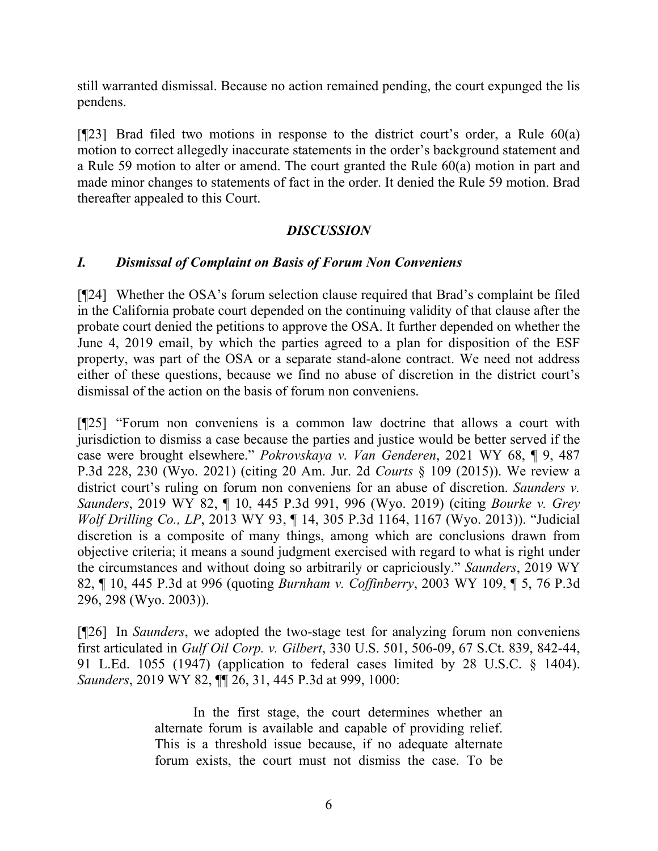still warranted dismissal. Because no action remained pending, the court expunged the lis pendens.

[ $[23]$ ] Brad filed two motions in response to the district court's order, a Rule 60(a) motion to correct allegedly inaccurate statements in the order's background statement and a Rule 59 motion to alter or amend. The court granted the Rule 60(a) motion in part and made minor changes to statements of fact in the order. It denied the Rule 59 motion. Brad thereafter appealed to this Court.

### *DISCUSSION*

#### *I. Dismissal of Complaint on Basis of Forum Non Conveniens*

[¶24] Whether the OSA's forum selection clause required that Brad's complaint be filed in the California probate court depended on the continuing validity of that clause after the probate court denied the petitions to approve the OSA. It further depended on whether the June 4, 2019 email, by which the parties agreed to a plan for disposition of the ESF property, was part of the OSA or a separate stand-alone contract. We need not address either of these questions, because we find no abuse of discretion in the district court's dismissal of the action on the basis of forum non conveniens.

[¶25] "Forum non conveniens is a common law doctrine that allows a court with jurisdiction to dismiss a case because the parties and justice would be better served if the case were brought elsewhere." *Pokrovskaya v. Van Genderen*, 2021 WY 68, ¶ 9, 487 P.3d 228, 230 (Wyo. 2021) (citing [20 Am. Jur. 2d](http://www.westlaw.com/Link/Document/FullText?findType=Y&serNum=0107491367&pubNum=0113390&originatingDoc=Ide50b100b75711eb9379f12dace6abd9&refType=TS&originationContext=document&vr=3.0&rs=cblt1.0&transitionType=DocumentItem&contextData=(sc.UserEnteredCitation)) *Courts* § 109 (2015)). We review a district court's ruling on forum non conveniens for an abuse of discretion. *Saunders v. Saunders*, 2019 WY 82, ¶ 10, 445 P.3d 991, 996 (Wyo. 2019) (citing *[Bourke v. Grey](http://www.westlaw.com/Link/Document/FullText?findType=Y&serNum=2031194345&pubNum=0004645&originatingDoc=Ifcadc8e0b4a211e998e8870e22e55653&refType=RP&fi=co_pp_sp_4645_1167&originationContext=document&vr=3.0&rs=cblt1.0&transitionType=DocumentItem&contextData=(sc.UserEnteredCitation)#co_pp_sp_4645_1167)  Wolf Drilling Co., LP*[, 2013 WY 93, ¶ 14, 305 P.3d 1164, 1167 \(Wyo. 2013\)\)](http://www.westlaw.com/Link/Document/FullText?findType=Y&serNum=2031194345&pubNum=0004645&originatingDoc=Ifcadc8e0b4a211e998e8870e22e55653&refType=RP&fi=co_pp_sp_4645_1167&originationContext=document&vr=3.0&rs=cblt1.0&transitionType=DocumentItem&contextData=(sc.UserEnteredCitation)#co_pp_sp_4645_1167). "Judicial discretion is a composite of many things, among which are conclusions drawn from objective criteria; it means a sound judgment exercised with regard to what is right under the circumstances and without doing so arbitrarily or capriciously." *Saunders*, 2019 WY 82, ¶ 10, 445 P.3d at 996 (quoting *Burnham v. Coffinberry*[, 2003 WY 109, ¶ 5, 76 P.3d](http://www.westlaw.com/Link/Document/FullText?findType=Y&serNum=2003612234&pubNum=0004645&originatingDoc=Ifcadc8e0b4a211e998e8870e22e55653&refType=RP&fi=co_pp_sp_4645_298&originationContext=document&vr=3.0&rs=cblt1.0&transitionType=DocumentItem&contextData=(sc.UserEnteredCitation)#co_pp_sp_4645_298)  [296, 298 \(Wyo. 2003\)\)](http://www.westlaw.com/Link/Document/FullText?findType=Y&serNum=2003612234&pubNum=0004645&originatingDoc=Ifcadc8e0b4a211e998e8870e22e55653&refType=RP&fi=co_pp_sp_4645_298&originationContext=document&vr=3.0&rs=cblt1.0&transitionType=DocumentItem&contextData=(sc.UserEnteredCitation)#co_pp_sp_4645_298).

[¶26] In *Saunders*, we adopted the two-stage test for analyzing forum non conveniens first articulated in *Gulf Oil Corp. v. Gilbert*, [330 U.S. 501, 506-09, 67 S.Ct. 839, 842-44,](http://www.westlaw.com/Link/Document/FullText?findType=Y&serNum=1947115351&pubNum=0000708&originatingDoc=Ifcadc8e0b4a211e998e8870e22e55653&refType=RP&fi=co_pp_sp_708_841&originationContext=document&vr=3.0&rs=cblt1.0&transitionType=DocumentItem&contextData=(sc.UserEnteredCitation)#co_pp_sp_708_841)  [91 L.Ed. 1055 \(1947\)](http://www.westlaw.com/Link/Document/FullText?findType=Y&serNum=1947115351&pubNum=0000708&originatingDoc=Ifcadc8e0b4a211e998e8870e22e55653&refType=RP&fi=co_pp_sp_708_841&originationContext=document&vr=3.0&rs=cblt1.0&transitionType=DocumentItem&contextData=(sc.UserEnteredCitation)#co_pp_sp_708_841) (application to federal cases limited by 28 U.S.C. § 1404). *Saunders*, 2019 WY 82, ¶¶ 26, 31, 445 P.3d at 999, 1000:

> In the first stage, the court determines whether an alternate forum is available and capable of providing relief. This is a threshold issue because, if no adequate alternate forum exists, the court must not dismiss the case. To be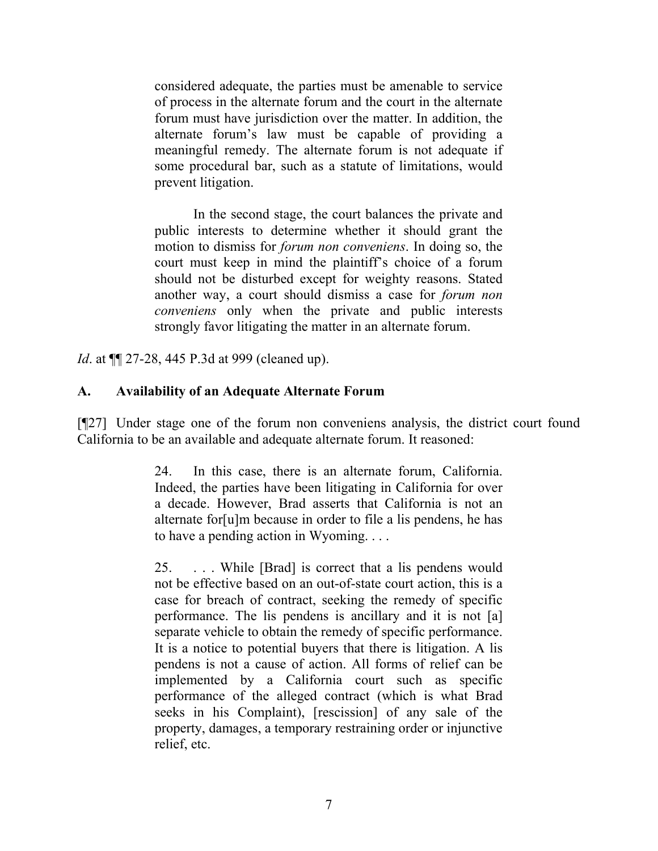considered adequate, the parties must be amenable to service of process in the alternate forum and the court in the alternate forum must have jurisdiction over the matter. In addition, the alternate forum's law must be capable of providing a meaningful remedy. The alternate forum is not adequate if some procedural bar, such as a statute of limitations, would prevent litigation.

In the second stage, the court balances the private and public interests to determine whether it should grant the motion to dismiss for *forum non conveniens*. In doing so, the court must keep in mind the plaintiff's choice of a forum should not be disturbed except for weighty reasons. Stated another way, a court should dismiss a case for *forum non conveniens* only when the private and public interests strongly favor litigating the matter in an alternate forum.

*Id*. at ¶¶ 27-28, 445 P.3d at 999 (cleaned up).

### **A. Availability of an Adequate Alternate Forum**

[¶27] Under stage one of the forum non conveniens analysis, the district court found California to be an available and adequate alternate forum. It reasoned:

> 24. In this case, there is an alternate forum, California. Indeed, the parties have been litigating in California for over a decade. However, Brad asserts that California is not an alternate for[u]m because in order to file a lis pendens, he has to have a pending action in Wyoming. . . .

> 25. . . . While [Brad] is correct that a lis pendens would not be effective based on an out-of-state court action, this is a case for breach of contract, seeking the remedy of specific performance. The lis pendens is ancillary and it is not [a] separate vehicle to obtain the remedy of specific performance. It is a notice to potential buyers that there is litigation. A lis pendens is not a cause of action. All forms of relief can be implemented by a California court such as specific performance of the alleged contract (which is what Brad seeks in his Complaint), [rescission] of any sale of the property, damages, a temporary restraining order or injunctive relief, etc.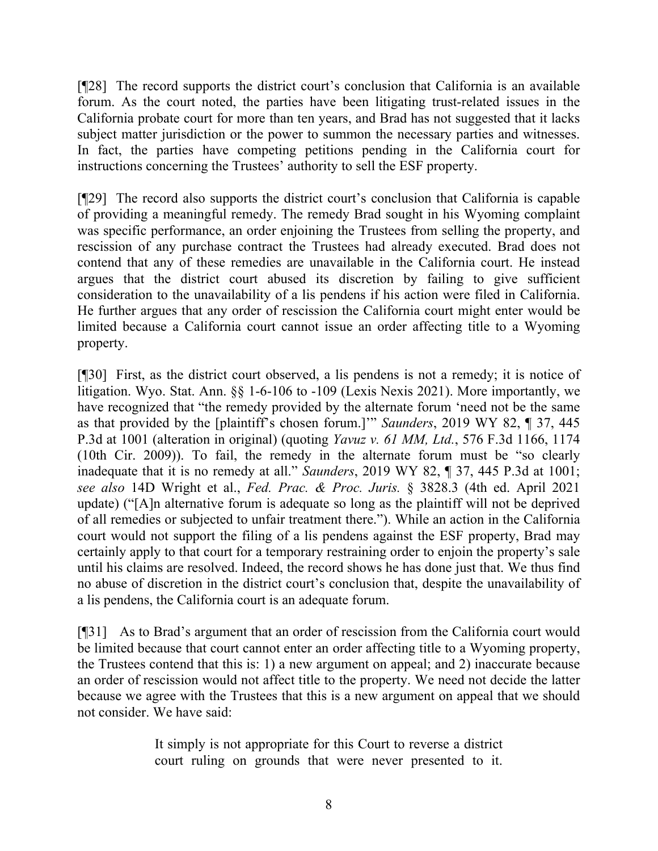[¶28] The record supports the district court's conclusion that California is an available forum. As the court noted, the parties have been litigating trust-related issues in the California probate court for more than ten years, and Brad has not suggested that it lacks subject matter jurisdiction or the power to summon the necessary parties and witnesses. In fact, the parties have competing petitions pending in the California court for instructions concerning the Trustees' authority to sell the ESF property.

[¶29] The record also supports the district court's conclusion that California is capable of providing a meaningful remedy. The remedy Brad sought in his Wyoming complaint was specific performance, an order enjoining the Trustees from selling the property, and rescission of any purchase contract the Trustees had already executed. Brad does not contend that any of these remedies are unavailable in the California court. He instead argues that the district court abused its discretion by failing to give sufficient consideration to the unavailability of a lis pendens if his action were filed in California. He further argues that any order of rescission the California court might enter would be limited because a California court cannot issue an order affecting title to a Wyoming property.

[¶30] First, as the district court observed, a lis pendens is not a remedy; it is notice of litigation. Wyo. Stat. Ann. §§ 1-6-106 to -109 (Lexis Nexis 2021). More importantly, we have recognized that "the remedy provided by the alternate forum 'need not be the same as that provided by the [plaintiff's chosen forum.]'" *Saunders*, 2019 WY 82, ¶ 37, 445 P.3d at 1001 (alteration in original) (quoting *Yavuz v. 61 MM, Ltd.*[, 576 F.3d 1166, 1174](http://www.westlaw.com/Link/Document/FullText?findType=Y&serNum=2019595842&pubNum=0000506&originatingDoc=Ifcadc8e0b4a211e998e8870e22e55653&refType=RP&fi=co_pp_sp_506_1174&originationContext=document&vr=3.0&rs=cblt1.0&transitionType=DocumentItem&contextData=(sc.UserEnteredCitation)#co_pp_sp_506_1174)  [\(10th Cir. 2009\)\)](http://www.westlaw.com/Link/Document/FullText?findType=Y&serNum=2019595842&pubNum=0000506&originatingDoc=Ifcadc8e0b4a211e998e8870e22e55653&refType=RP&fi=co_pp_sp_506_1174&originationContext=document&vr=3.0&rs=cblt1.0&transitionType=DocumentItem&contextData=(sc.UserEnteredCitation)#co_pp_sp_506_1174). To fail, the remedy in the alternate forum must be "so clearly inadequate that it is no remedy at all." *Saunders*, 2019 WY 82, ¶ 37, 445 P.3d at 1001; *see also* 14D Wright et al., *Fed. Prac. & Proc. Juris.* § 3828.3 (4th ed. April 2021 update) ("[A]n alternative forum is adequate so long as the plaintiff will not be deprived of all remedies or subjected to unfair treatment there."). While an action in the California court would not support the filing of a lis pendens against the ESF property, Brad may certainly apply to that court for a temporary restraining order to enjoin the property's sale until his claims are resolved. Indeed, the record shows he has done just that. We thus find no abuse of discretion in the district court's conclusion that, despite the unavailability of a lis pendens, the California court is an adequate forum.

[¶31] As to Brad's argument that an order of rescission from the California court would be limited because that court cannot enter an order affecting title to a Wyoming property, the Trustees contend that this is: 1) a new argument on appeal; and 2) inaccurate because an order of rescission would not affect title to the property. We need not decide the latter because we agree with the Trustees that this is a new argument on appeal that we should not consider. We have said:

> It simply is not appropriate for this Court to reverse a district court ruling on grounds that were never presented to it.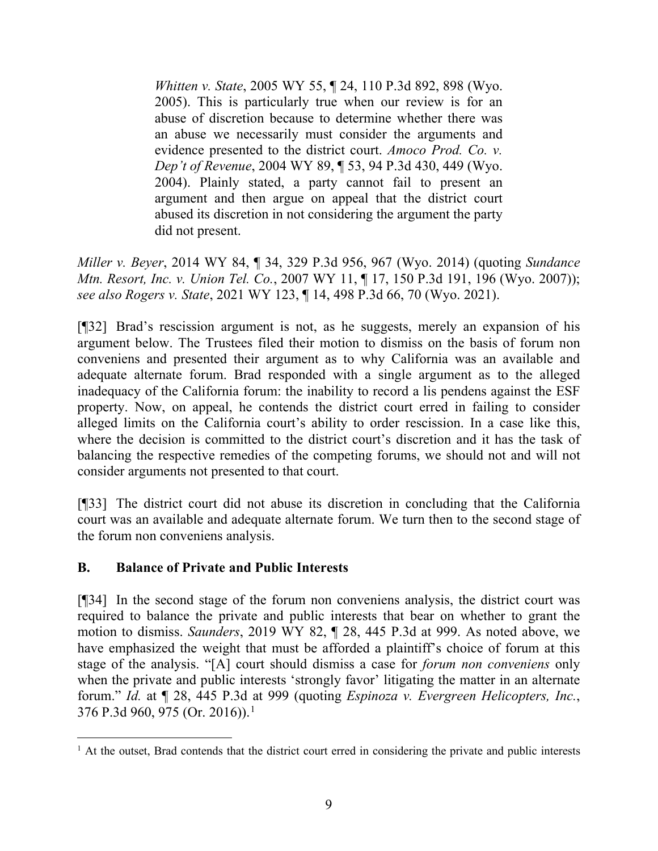*Whitten v. State*, 2005 WY 55, ¶ 24, [110 P.3d 892, 898 \(Wyo.](http://www.westlaw.com/Link/Document/FullText?findType=Y&serNum=2006541721&pubNum=0004645&originatingDoc=I3ec0a829019711e4b86bd602cb8781fa&refType=RP&fi=co_pp_sp_4645_898&originationContext=document&vr=3.0&rs=cblt1.0&transitionType=DocumentItem&contextData=(sc.Search)#co_pp_sp_4645_898) [2005\).](http://www.westlaw.com/Link/Document/FullText?findType=Y&serNum=2006541721&pubNum=0004645&originatingDoc=I3ec0a829019711e4b86bd602cb8781fa&refType=RP&fi=co_pp_sp_4645_898&originationContext=document&vr=3.0&rs=cblt1.0&transitionType=DocumentItem&contextData=(sc.Search)#co_pp_sp_4645_898) This is particularly true when our review is for an abuse of discretion because to determine whether there was an abuse we necessarily must consider the arguments and evidence presented to the district court. *[Amoco Prod. Co. v.](http://www.westlaw.com/Link/Document/FullText?findType=Y&serNum=2004741476&pubNum=0004645&originatingDoc=I3ec0a829019711e4b86bd602cb8781fa&refType=RP&fi=co_pp_sp_4645_449&originationContext=document&vr=3.0&rs=cblt1.0&transitionType=DocumentItem&contextData=(sc.Search)#co_pp_sp_4645_449)  Dep't of Revenue*[, 2004 WY 89, ¶ 53, 94 P.3d 430, 449 \(Wyo.](http://www.westlaw.com/Link/Document/FullText?findType=Y&serNum=2004741476&pubNum=0004645&originatingDoc=I3ec0a829019711e4b86bd602cb8781fa&refType=RP&fi=co_pp_sp_4645_449&originationContext=document&vr=3.0&rs=cblt1.0&transitionType=DocumentItem&contextData=(sc.Search)#co_pp_sp_4645_449) [2004\).](http://www.westlaw.com/Link/Document/FullText?findType=Y&serNum=2004741476&pubNum=0004645&originatingDoc=I3ec0a829019711e4b86bd602cb8781fa&refType=RP&fi=co_pp_sp_4645_449&originationContext=document&vr=3.0&rs=cblt1.0&transitionType=DocumentItem&contextData=(sc.Search)#co_pp_sp_4645_449) Plainly stated, a party cannot fail to present an argument and then argue on appeal that the district court abused its discretion in not considering the argument the party did not present.

*Miller v. Beyer*, 2014 WY 84, ¶ 34, 329 P.3d 956, 967 (Wyo. 2014) (quoting *[Sundance](http://www.westlaw.com/Link/Document/FullText?findType=Y&serNum=2011219254&pubNum=0004645&originatingDoc=I3ec0a829019711e4b86bd602cb8781fa&refType=RP&fi=co_pp_sp_4645_196&originationContext=document&vr=3.0&rs=cblt1.0&transitionType=DocumentItem&contextData=(sc.Search)#co_pp_sp_4645_196)  Mtn. Resort, Inc. v. Union Tel. Co.*, 2007 [WY 11, ¶ 17, 150 P.3d 191, 196 \(Wyo.](http://www.westlaw.com/Link/Document/FullText?findType=Y&serNum=2011219254&pubNum=0004645&originatingDoc=I3ec0a829019711e4b86bd602cb8781fa&refType=RP&fi=co_pp_sp_4645_196&originationContext=document&vr=3.0&rs=cblt1.0&transitionType=DocumentItem&contextData=(sc.Search)#co_pp_sp_4645_196) 2007)); *see also Rogers v. State*, 2021 WY 123, ¶ 14, 498 P.3d 66, 70 (Wyo. 2021).

[¶32] Brad's rescission argument is not, as he suggests, merely an expansion of his argument below. The Trustees filed their motion to dismiss on the basis of forum non conveniens and presented their argument as to why California was an available and adequate alternate forum. Brad responded with a single argument as to the alleged inadequacy of the California forum: the inability to record a lis pendens against the ESF property. Now, on appeal, he contends the district court erred in failing to consider alleged limits on the California court's ability to order rescission. In a case like this, where the decision is committed to the district court's discretion and it has the task of balancing the respective remedies of the competing forums, we should not and will not consider arguments not presented to that court.

[¶33] The district court did not abuse its discretion in concluding that the California court was an available and adequate alternate forum. We turn then to the second stage of the forum non conveniens analysis.

### **B. Balance of Private and Public Interests**

[¶34] In the second stage of the forum non conveniens analysis, the district court was required to balance the private and public interests that bear on whether to grant the motion to dismiss. *Saunders*, 2019 WY 82, ¶ 28, 445 P.3d at 999. As noted above, we have emphasized the weight that must be afforded a plaintiff's choice of forum at this stage of the analysis. "[A] court should dismiss a case for *forum non conveniens* only when the private and public interests 'strongly favor' litigating the matter in an alternate forum." *Id.* at ¶ 28, 445 P.3d at 999 (quoting *[Espinoza v. Evergreen Helicopters,](http://www.westlaw.com/Link/Document/FullText?findType=Y&serNum=2038668479&pubNum=0004645&originatingDoc=Ifcadc8e0b4a211e998e8870e22e55653&refType=RP&fi=co_pp_sp_4645_982&originationContext=document&vr=3.0&rs=cblt1.0&transitionType=DocumentItem&contextData=(sc.UserEnteredCitation)#co_pp_sp_4645_982) Inc.*, [376 P.3d 960, 975](http://www.westlaw.com/Link/Document/FullText?findType=Y&serNum=2038668479&pubNum=0004645&originatingDoc=Ifcadc8e0b4a211e998e8870e22e55653&refType=RP&fi=co_pp_sp_4645_982&originationContext=document&vr=3.0&rs=cblt1.0&transitionType=DocumentItem&contextData=(sc.UserEnteredCitation)#co_pp_sp_4645_982) (Or. 20[1](#page-10-0)6)).<sup>1</sup>

<span id="page-10-0"></span><sup>&</sup>lt;sup>1</sup> At the outset, Brad contends that the district court erred in considering the private and public interests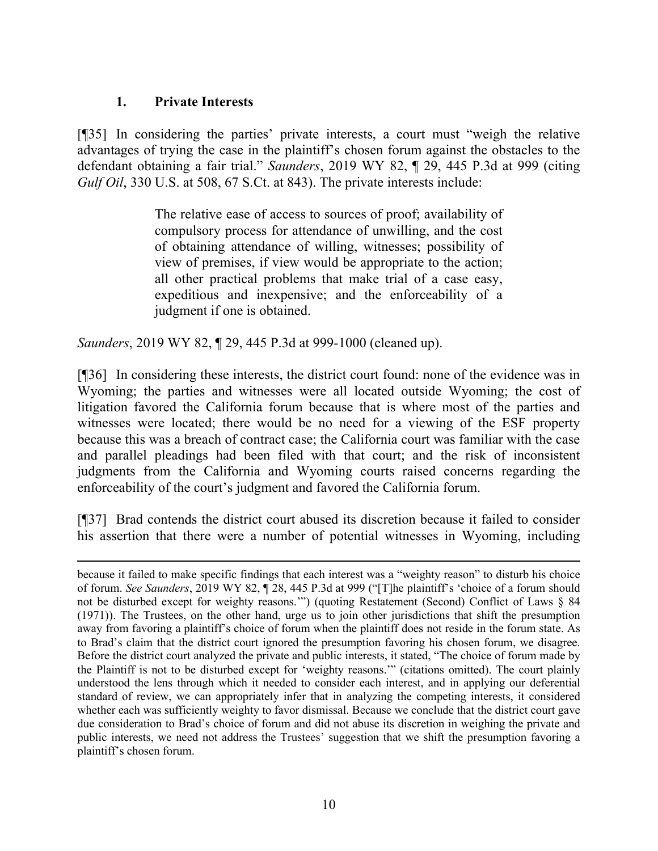### **1. Private Interests**

[¶35] In considering the parties' private interests, a court must "weigh the relative advantages of trying the case in the plaintiff's chosen forum against the obstacles to the defendant obtaining a fair trial." *Saunders*, 2019 WY 82, ¶ 29, 445 P.3d at 999 (citing *Gulf Oil*, 330 [U.S. at 508, 67 S.Ct. at 843\)](http://www.westlaw.com/Link/Document/FullText?findType=Y&serNum=1947115351&pubNum=0000708&originatingDoc=Ifcadc8e0b4a211e998e8870e22e55653&refType=RP&fi=co_pp_sp_708_843&originationContext=document&vr=3.0&rs=cblt1.0&transitionType=DocumentItem&contextData=(sc.UserEnteredCitation)#co_pp_sp_708_843). The private interests include:

> The relative ease of access to sources of proof; availability of compulsory process for attendance of unwilling, and the cost of obtaining attendance of willing, witnesses; possibility of view of premises, if view would be appropriate to the action; all other practical problems that make trial of a case easy, expeditious and inexpensive; and the enforceability of a judgment if one is obtained.

*Saunders*, 2019 WY 82, ¶ 29, 445 P.3d at 999-1000 (cleaned up).

[¶36] In considering these interests, the district court found: none of the evidence was in Wyoming; the parties and witnesses were all located outside Wyoming; the cost of litigation favored the California forum because that is where most of the parties and witnesses were located; there would be no need for a viewing of the ESF property because this was a breach of contract case; the California court was familiar with the case and parallel pleadings had been filed with that court; and the risk of inconsistent judgments from the California and Wyoming courts raised concerns regarding the enforceability of the court's judgment and favored the California forum.

[¶37] Brad contends the district court abused its discretion because it failed to consider his assertion that there were a number of potential witnesses in Wyoming, including

because it failed to make specific findings that each interest was a "weighty reason" to disturb his choice of forum. *See Saunders*, 2019 WY 82, ¶ 28, 445 P.3d at 999 ("[T]he plaintiff's 'choice of a forum should not be disturbed except for weighty reasons.'") (quoting Restatement (Second) Conflict of Laws § 84 (1971)). The Trustees, on the other hand, urge us to join other jurisdictions that shift the presumption away from favoring a plaintiff's choice of forum when the plaintiff does not reside in the forum state. As to Brad's claim that the district court ignored the presumption favoring his chosen forum, we disagree. Before the district court analyzed the private and public interests, it stated, "The choice of forum made by the Plaintiff is not to be disturbed except for 'weighty reasons.'" (citations omitted). The court plainly understood the lens through which it needed to consider each interest, and in applying our deferential standard of review, we can appropriately infer that in analyzing the competing interests, it considered whether each was sufficiently weighty to favor dismissal. Because we conclude that the district court gave due consideration to Brad's choice of forum and did not abuse its discretion in weighing the private and public interests, we need not address the Trustees' suggestion that we shift the presumption favoring a plaintiff's chosen forum.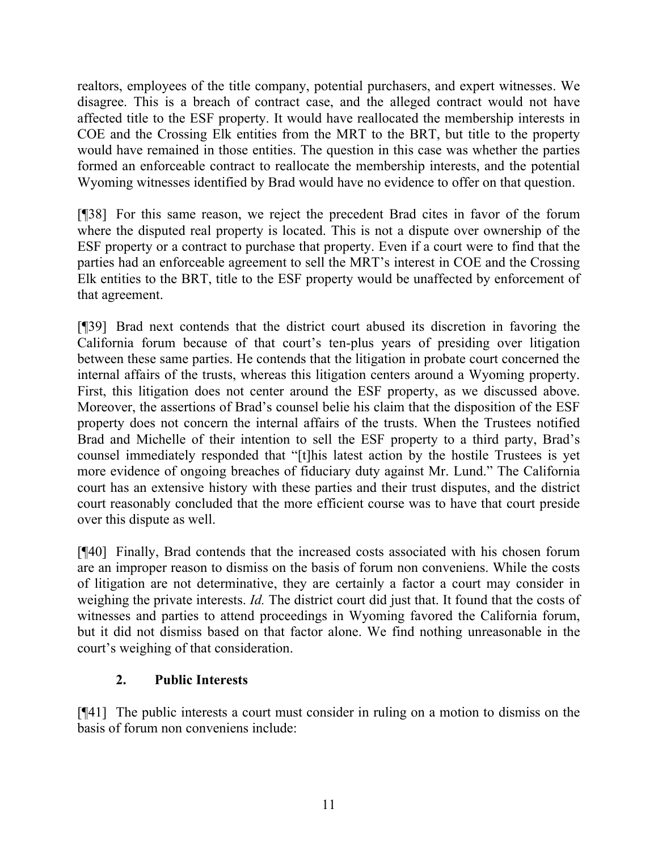realtors, employees of the title company, potential purchasers, and expert witnesses. We disagree. This is a breach of contract case, and the alleged contract would not have affected title to the ESF property. It would have reallocated the membership interests in COE and the Crossing Elk entities from the MRT to the BRT, but title to the property would have remained in those entities. The question in this case was whether the parties formed an enforceable contract to reallocate the membership interests, and the potential Wyoming witnesses identified by Brad would have no evidence to offer on that question.

[¶38] For this same reason, we reject the precedent Brad cites in favor of the forum where the disputed real property is located. This is not a dispute over ownership of the ESF property or a contract to purchase that property. Even if a court were to find that the parties had an enforceable agreement to sell the MRT's interest in COE and the Crossing Elk entities to the BRT, title to the ESF property would be unaffected by enforcement of that agreement.

[¶39] Brad next contends that the district court abused its discretion in favoring the California forum because of that court's ten-plus years of presiding over litigation between these same parties. He contends that the litigation in probate court concerned the internal affairs of the trusts, whereas this litigation centers around a Wyoming property. First, this litigation does not center around the ESF property, as we discussed above. Moreover, the assertions of Brad's counsel belie his claim that the disposition of the ESF property does not concern the internal affairs of the trusts. When the Trustees notified Brad and Michelle of their intention to sell the ESF property to a third party, Brad's counsel immediately responded that "[t]his latest action by the hostile Trustees is yet more evidence of ongoing breaches of fiduciary duty against Mr. Lund." The California court has an extensive history with these parties and their trust disputes, and the district court reasonably concluded that the more efficient course was to have that court preside over this dispute as well.

[¶40] Finally, Brad contends that the increased costs associated with his chosen forum are an improper reason to dismiss on the basis of forum non conveniens. While the costs of litigation are not determinative, they are certainly a factor a court may consider in weighing the private interests. *Id.* The district court did just that. It found that the costs of witnesses and parties to attend proceedings in Wyoming favored the California forum, but it did not dismiss based on that factor alone. We find nothing unreasonable in the court's weighing of that consideration.

### **2. Public Interests**

[¶41] The public interests a court must consider in ruling on a motion to dismiss on the basis of forum non conveniens include: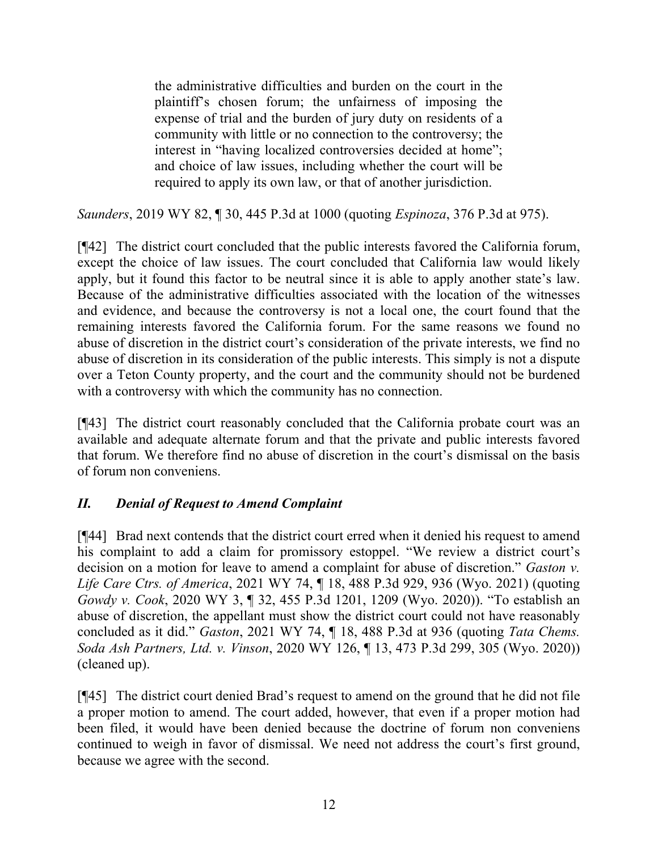the administrative difficulties and burden on the court in the plaintiff's chosen forum; the unfairness of imposing the expense of trial and the burden of jury duty on residents of a community with little or no connection to the controversy; the interest in "having localized controversies decided at home"; and choice of law issues, including whether the court will be required to apply its own law, or that of another jurisdiction.

*Saunders*, 2019 WY 82, ¶ 30, 445 P.3d at 1000 (quoting *Espinoza*[, 376 P.3d at 975\)](http://www.westlaw.com/Link/Document/FullText?findType=Y&serNum=2038668479&pubNum=0004645&originatingDoc=Ifcadc8e0b4a211e998e8870e22e55653&refType=RP&fi=co_pp_sp_4645_975&originationContext=document&vr=3.0&rs=cblt1.0&transitionType=DocumentItem&contextData=(sc.UserEnteredCitation)#co_pp_sp_4645_975).

[¶42] The district court concluded that the public interests favored the California forum, except the choice of law issues. The court concluded that California law would likely apply, but it found this factor to be neutral since it is able to apply another state's law. Because of the administrative difficulties associated with the location of the witnesses and evidence, and because the controversy is not a local one, the court found that the remaining interests favored the California forum. For the same reasons we found no abuse of discretion in the district court's consideration of the private interests, we find no abuse of discretion in its consideration of the public interests. This simply is not a dispute over a Teton County property, and the court and the community should not be burdened with a controversy with which the community has no connection.

[¶43] The district court reasonably concluded that the California probate court was an available and adequate alternate forum and that the private and public interests favored that forum. We therefore find no abuse of discretion in the court's dismissal on the basis of forum non conveniens.

## *II. Denial of Request to Amend Complaint*

[¶44] Brad next contends that the district court erred when it denied his request to amend his complaint to add a claim for promissory estoppel. "We review a district court's decision on a motion for leave to amend a complaint for abuse of discretion." *Gaston v. Life Care Ctrs. of America*, 2021 WY 74, ¶ 18, 488 P.3d 929, 936 (Wyo. 2021) (quoting *Gowdy v. Cook*[, 2020 WY 3, ¶ 32, 455 P.3d 1201, 1209 \(Wyo. 2020\)\)](http://www.westlaw.com/Link/Document/FullText?findType=Y&serNum=2050076750&pubNum=0004645&originatingDoc=I4a7eebd0c7fc11ebbaa5b24c62c17621&refType=RP&fi=co_pp_sp_4645_1209&originationContext=document&vr=3.0&rs=cblt1.0&transitionType=DocumentItem&contextData=(sc.Keycite)#co_pp_sp_4645_1209). "To establish an abuse of discretion, the appellant must show the district court could not have reasonably concluded as it did." *Gaston*, 2021 WY 74, ¶ 18, 488 P.3d at 936 (quoting *[Tata Chems.](http://www.westlaw.com/Link/Document/FullText?findType=Y&serNum=2051936483&pubNum=0004645&originatingDoc=I4a7eebd0c7fc11ebbaa5b24c62c17621&refType=RP&fi=co_pp_sp_4645_305&originationContext=document&vr=3.0&rs=cblt1.0&transitionType=DocumentItem&contextData=(sc.Keycite)#co_pp_sp_4645_305)  Soda Ash Partners, Ltd. v. Vinson*[, 2020 WY 126, ¶ 13, 473 P.3d 299, 305 \(Wyo. 2020\)\)](http://www.westlaw.com/Link/Document/FullText?findType=Y&serNum=2051936483&pubNum=0004645&originatingDoc=I4a7eebd0c7fc11ebbaa5b24c62c17621&refType=RP&fi=co_pp_sp_4645_305&originationContext=document&vr=3.0&rs=cblt1.0&transitionType=DocumentItem&contextData=(sc.Keycite)#co_pp_sp_4645_305) (cleaned up).

[¶45] The district court denied Brad's request to amend on the ground that he did not file a proper motion to amend. The court added, however, that even if a proper motion had been filed, it would have been denied because the doctrine of forum non conveniens continued to weigh in favor of dismissal. We need not address the court's first ground, because we agree with the second.